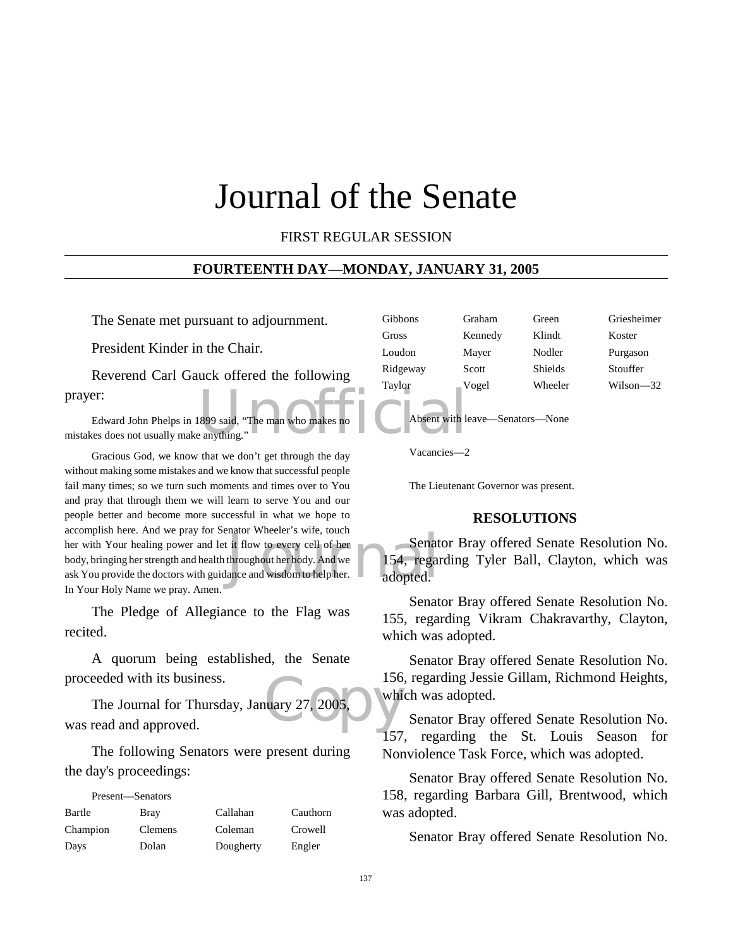# Journal of the Senate

## FIRST REGULAR SESSION

#### **FOURTEENTH DAY—MONDAY, JANUARY 31, 2005**

The Senate met pursuant to adjournment.

President Kinder in the Chair.

Reverend Carl Gauck offered the following prayer:

899 said, "The man who makes no<br>anything." Edward John Phelps in 1899 said, "The man who makes no mistakes does not usually make anything."

Senate is when the same of the Senate of the Senate of the Senate of the Senate and wisdom to help her.<br>
ance and wisdom to help her. adopted. Gracious God, we know that we don't get through the day without making some mistakes and we know that successful people fail many times; so we turn such moments and times over to You and pray that through them we will learn to serve You and our people better and become more successful in what we hope to accomplish here. And we pray for Senator Wheeler's wife, touch her with Your healing power and let it flow to every cell of her body, bringing her strength and health throughout her body. And we ask You provide the doctors with guidance and wisdom to help her. In Your Holy Name we pray. Amen.

The Pledge of Allegiance to the Flag was recited.

A quorum being established, the Senate proceeded with its business.

 $\frac{156}{27,2005}$ The Journal for Thursday, January 27, 2005, was read and approved.

The following Senators were present during the day's proceedings:

| Present—Senators |                |           |          |
|------------------|----------------|-----------|----------|
| Bartle           | Bray           | Callahan  | Cauthorn |
| Champion         | <b>Clemens</b> | Coleman   | Crowell  |
| Days             | Dolan          | Dougherty | Engler   |

| <b>Gibbons</b> | Graham  | Green          | Griesheimer   |
|----------------|---------|----------------|---------------|
| Gross          | Kennedy | Klindt         | Koster        |
| Loudon         | Mayer   | Nodler         | Purgason      |
| Ridgeway       | Scott   | <b>Shields</b> | Stouffer      |
| Taylor         | Vogel   | Wheeler        | $Wilson - 32$ |

Absent with leave—Senators—None

Vacancies—2

The Lieutenant Governor was present.

#### **RESOLUTIONS**

Senator Bray offered Senate Resolution No. 154, regarding Tyler Ball, Clayton, which was adopted.

Senator Bray offered Senate Resolution No. 155, regarding Vikram Chakravarthy, Clayton, which was adopted.

Senator Bray offered Senate Resolution No. 156, regarding Jessie Gillam, Richmond Heights, which was adopted.

Senator Bray offered Senate Resolution No. 157, regarding the St. Louis Season for Nonviolence Task Force, which was adopted.

Senator Bray offered Senate Resolution No. 158, regarding Barbara Gill, Brentwood, which was adopted.

Senator Bray offered Senate Resolution No.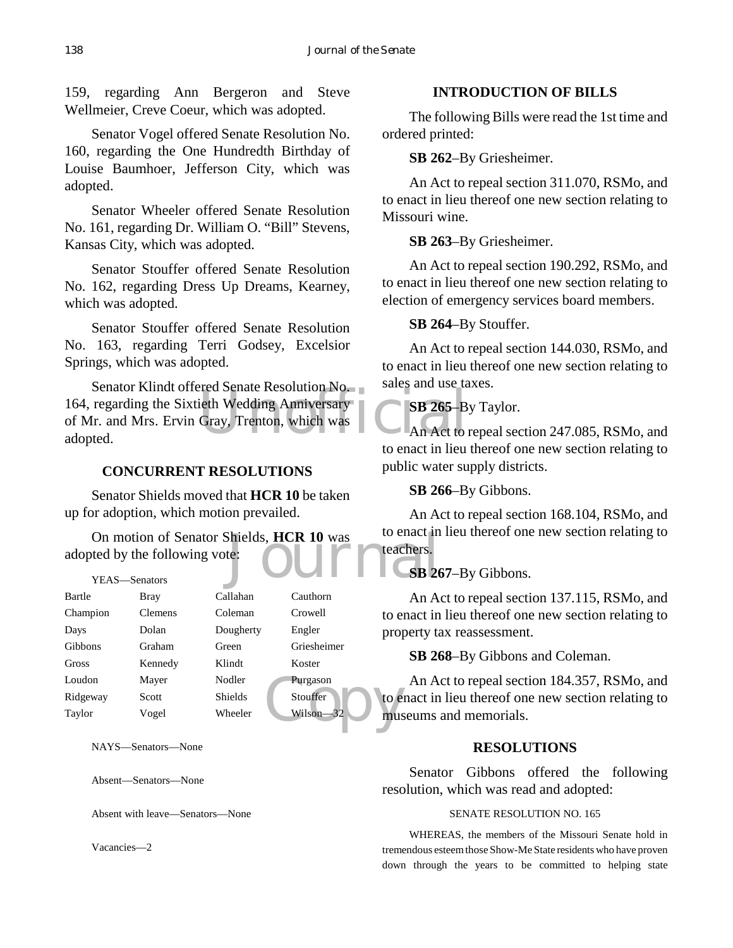159, regarding Ann Bergeron and Steve Wellmeier, Creve Coeur, which was adopted.

Senator Vogel offered Senate Resolution No. 160, regarding the One Hundredth Birthday of Louise Baumhoer, Jefferson City, which was adopted.

Senator Wheeler offered Senate Resolution No. 161, regarding Dr. William O. "Bill" Stevens, Kansas City, which was adopted.

Senator Stouffer offered Senate Resolution No. 162, regarding Dress Up Dreams, Kearney, which was adopted.

Senator Stouffer offered Senate Resolution No. 163, regarding Terri Godsey, Excelsior Springs, which was adopted.

Suite Contains and the contains the Contains of the Contains of the Contains of the Contains of the Contains of the Contains and the Contains of the Contains of the Contains of the Contains of the Contains of the Contains Senator Klindt offered Senate Resolution No. 164, regarding the Sixtieth Wedding Anniversary of Mr. and Mrs. Ervin Gray, Trenton, which was adopted.

## **CONCURRENT RESOLUTIONS**

Senator Shields moved that **HCR 10** be taken up for adoption, which motion prevailed.

On motion of Senator Shields, **HCR 10** was to enact in<br>
ted by the following vote:<br>
YEAS—Senators **CSB 26** adopted by the following vote:

| YEAS-Senators |                |           |             |      |
|---------------|----------------|-----------|-------------|------|
| Bartle        | Bray           | Callahan  | Cauthorn    |      |
| Champion      | <b>Clemens</b> | Coleman   | Crowell     | to e |
| Days          | Dolan          | Dougherty | Engler      | prop |
| Gibbons       | Graham         | Green     | Griesheimer |      |
| Gross         | Kennedy        | Klindt    | Koster      |      |
| Loudon        | Mayer          | Nodler    | Purgason    |      |
| Ridgeway      | Scott          | Shields   | Stouffer    | to e |
| Taylor        | Vogel          | Wheeler   | Wilson-32   | mus  |
|               |                |           |             |      |

NAYS—Senators—None

Absent—Senators—None

Absent with leave—Senators—None

Vacancies—2

## **INTRODUCTION OF BILLS**

The following Bills were read the 1st time and ordered printed:

## **SB 262**–By Griesheimer.

An Act to repeal section 311.070, RSMo, and to enact in lieu thereof one new section relating to Missouri wine.

## **SB 263**–By Griesheimer.

An Act to repeal section 190.292, RSMo, and to enact in lieu thereof one new section relating to election of emergency services board members.

## **SB 264**–By Stouffer.

An Act to repeal section 144.030, RSMo, and to enact in lieu thereof one new section relating to sales and use taxes.

## **SB 265**–By Taylor.

An Act to repeal section 247.085, RSMo, and to enact in lieu thereof one new section relating to public water supply districts.

**SB 266**–By Gibbons.

An Act to repeal section 168.104, RSMo, and to enact in lieu thereof one new section relating to teachers.

## **SB 267**–By Gibbons.

An Act to repeal section 137.115, RSMo, and to enact in lieu thereof one new section relating to property tax reassessment.

## **SB 268**–By Gibbons and Coleman.

An Act to repeal section 184.357, RSMo, and to enact in lieu thereof one new section relating to museums and memorials.

## **RESOLUTIONS**

Senator Gibbons offered the following resolution, which was read and adopted:

#### SENATE RESOLUTION NO. 165

WHEREAS, the members of the Missouri Senate hold in tremendous esteem those Show-Me State residents who have proven down through the years to be committed to helping state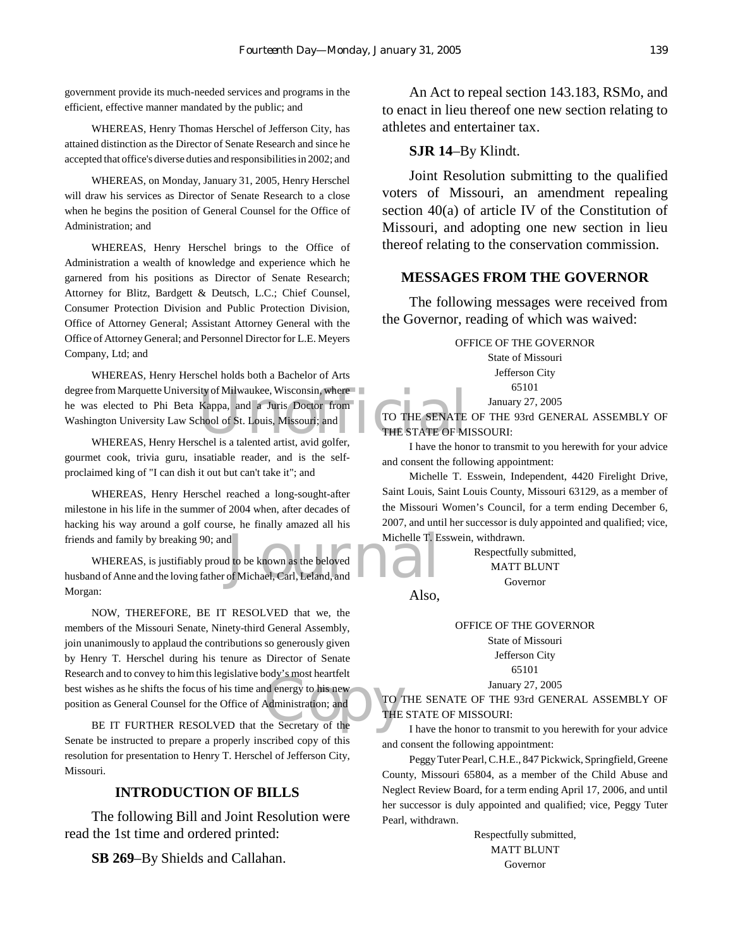government provide its much-needed services and programs in the efficient, effective manner mandated by the public; and

WHEREAS, Henry Thomas Herschel of Jefferson City, has attained distinction as the Director of Senate Research and since he accepted that office's diverse duties and responsibilities in 2002; and

WHEREAS, on Monday, January 31, 2005, Henry Herschel will draw his services as Director of Senate Research to a close when he begins the position of General Counsel for the Office of Administration; and

WHEREAS, Henry Herschel brings to the Office of Administration a wealth of knowledge and experience which he garnered from his positions as Director of Senate Research; Attorney for Blitz, Bardgett & Deutsch, L.C.; Chief Counsel, Consumer Protection Division and Public Protection Division, Office of Attorney General; Assistant Attorney General with the Office of Attorney General; and Personnel Director for L.E. Meyers Company, Ltd; and

degree from Marquette University of Milwaukee, Wisconsin, where<br>
he was elected to Phi Beta Kappa, and a Juris Doctor from<br>
Washington University Law School of St. Louis, Missouri; and<br>
WHEREAS. Henry Herschel is a talente WHEREAS, Henry Herschel holds both a Bachelor of Arts he was elected to Phi Beta Kappa, and a Juris Doctor from Washington University Law School of St. Louis, Missouri; and

WHEREAS, Henry Herschel is a talented artist, avid golfer, gourmet cook, trivia guru, insatiable reader, and is the selfproclaimed king of "I can dish it out but can't take it"; and

WHEREAS, Henry Herschel reached a long-sought-after milestone in his life in the summer of 2004 when, after decades of hacking his way around a golf course, he finally amazed all his friends and family by breaking 90; and

Michelle T. E<br>J to be known as the beloved<br>of Michael, Carl, Leland, and WHEREAS, is justifiably proud to be known as the beloved husband of Anne and the loving father of Michael, Carl, Leland, and Morgan:

Convey to minimis registance body s most heattent<br>
She as he shifts the focus of his time and energy to his new<br>
on as General Counsel for the Office of Administration; and<br>
THE<br>
BE IT FURTHER RESOLVED that the Secretary o NOW, THEREFORE, BE IT RESOLVED that we, the members of the Missouri Senate, Ninety-third General Assembly, join unanimously to applaud the contributions so generously given by Henry T. Herschel during his tenure as Director of Senate Research and to convey to him this legislative body's most heartfelt best wishes as he shifts the focus of his time and energy to his new position as General Counsel for the Office of Administration; and

Senate be instructed to prepare a properly inscribed copy of this resolution for presentation to Henry T. Herschel of Jefferson City, Missouri.

## **INTRODUCTION OF BILLS**

The following Bill and Joint Resolution were read the 1st time and ordered printed:

**SB 269**–By Shields and Callahan.

An Act to repeal section 143.183, RSMo, and to enact in lieu thereof one new section relating to athletes and entertainer tax.

#### **SJR 14**–By Klindt.

Joint Resolution submitting to the qualified voters of Missouri, an amendment repealing section 40(a) of article IV of the Constitution of Missouri, and adopting one new section in lieu thereof relating to the conservation commission.

## **MESSAGES FROM THE GOVERNOR**

The following messages were received from the Governor, reading of which was waived:

> OFFICE OF THE GOVERNOR State of Missouri

Jefferson City 65101

January 27, 2005

TO THE SENATE OF THE 93rd GENERAL ASSEMBLY OF THE STATE OF MISSOURI:

I have the honor to transmit to you herewith for your advice and consent the following appointment:

Michelle T. Esswein, Independent, 4420 Firelight Drive, Saint Louis, Saint Louis County, Missouri 63129, as a member of the Missouri Women's Council, for a term ending December 6, 2007, and until her successor is duly appointed and qualified; vice, Michelle T. Esswein, withdrawn.

> Respectfully submitted, MATT BLUNT Governor

Also,

OFFICE OF THE GOVERNOR

State of Missouri Jefferson City

65101

January 27, 2005 TO THE SENATE OF THE 93rd GENERAL ASSEMBLY OF

THE STATE OF MISSOURI:

I have the honor to transmit to you herewith for your advice and consent the following appointment:

Peggy Tuter Pearl, C.H.E., 847 Pickwick, Springfield, Greene County, Missouri 65804, as a member of the Child Abuse and Neglect Review Board, for a term ending April 17, 2006, and until her successor is duly appointed and qualified; vice, Peggy Tuter Pearl, withdrawn.

> Respectfully submitted, MATT BLUNT Governor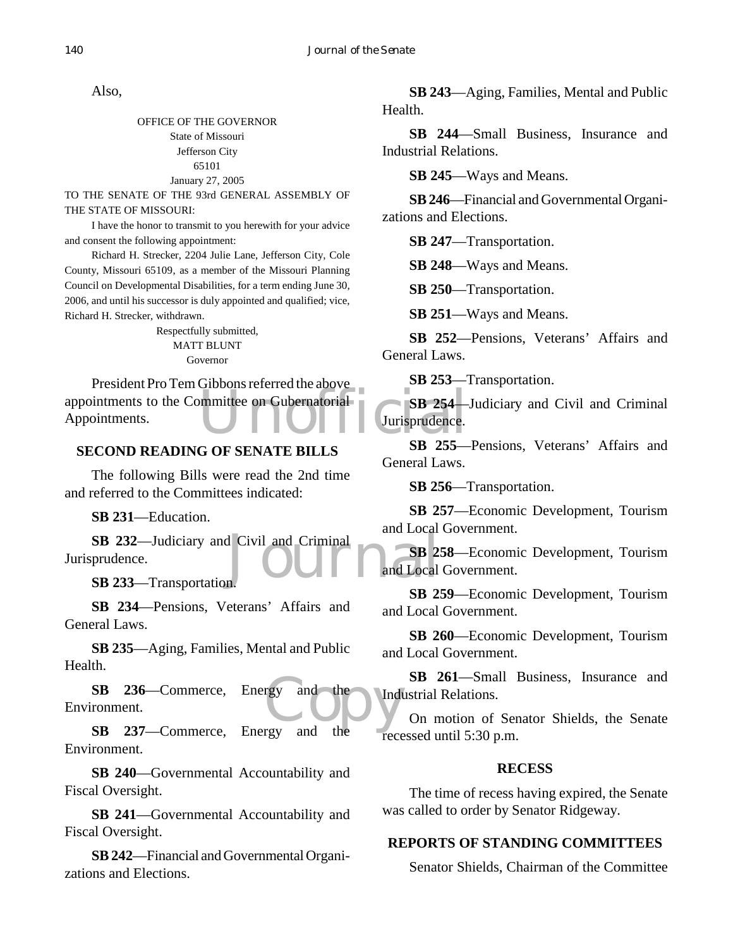Also,

OFFICE OF THE GOVERNOR State of Missouri Jefferson City 65101 January 27, 2005

TO THE SENATE OF THE 93rd GENERAL ASSEMBLY OF THE STATE OF MISSOURI:

I have the honor to transmit to you herewith for your advice and consent the following appointment:

Richard H. Strecker, 2204 Julie Lane, Jefferson City, Cole County, Missouri 65109, as a member of the Missouri Planning Council on Developmental Disabilities, for a term ending June 30, 2006, and until his successor is duly appointed and qualified; vice, Richard H. Strecker, withdrawn.

> Respectfully submitted, MATT BLUNT Governor

appointments to the Committee on Gubernatorial<br>
Appointments. President Pro Tem Gibbons referred the above Appointments.

## **SECOND READING OF SENATE BILLS**

The following Bills were read the 2nd time and referred to the Committees indicated:

**SB 231**—Education.

SB 232—Judiciary and Civil and Criminal<br>
prudence.<br>
SB 233—Transportation. Jurisprudence.

**SB 233**—Transportation.

**SB 234**—Pensions, Veterans' Affairs and General Laws.

**SB 235**—Aging, Families, Mental and Public Health.

rgy and the Indu **SB 236**—Commerce, Energy and the Environment.

**SB 237**—Commerce, Energy and the Environment.

**SB 240**—Governmental Accountability and Fiscal Oversight.

**SB 241**—Governmental Accountability and Fiscal Oversight.

**SB 242**—Financial and Governmental Organizations and Elections.

**SB 243**—Aging, Families, Mental and Public Health.

**SB 244**—Small Business, Insurance and Industrial Relations.

**SB 245**—Ways and Means.

**SB 246**—Financial and Governmental Organizations and Elections.

**SB 247**—Transportation.

**SB 248**—Ways and Means.

**SB 250**—Transportation.

**SB 251**—Ways and Means.

**SB 252**—Pensions, Veterans' Affairs and General Laws.

**SB 253**—Transportation.

**SB 254**—Judiciary and Civil and Criminal Jurisprudence.

**SB 255**—Pensions, Veterans' Affairs and General Laws.

**SB 256**—Transportation.

**SB 257**—Economic Development, Tourism and Local Government.

**SB 258**—Economic Development, Tourism and Local Government.

**SB 259**—Economic Development, Tourism and Local Government.

**SB 260**—Economic Development, Tourism and Local Government.

**SB 261**—Small Business, Insurance and Industrial Relations.

On motion of Senator Shields, the Senate recessed until 5:30 p.m.

## **RECESS**

The time of recess having expired, the Senate was called to order by Senator Ridgeway.

## **REPORTS OF STANDING COMMITTEES**

Senator Shields, Chairman of the Committee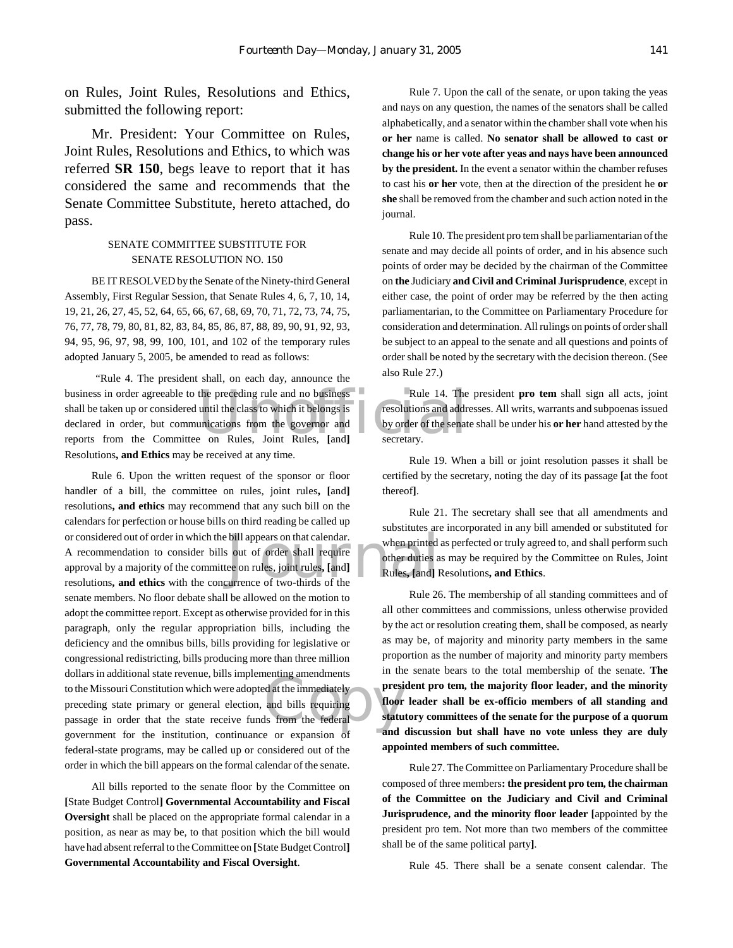on Rules, Joint Rules, Resolutions and Ethics, submitted the following report:

Mr. President: Your Committee on Rules, Joint Rules, Resolutions and Ethics, to which was referred **SR 150**, begs leave to report that it has considered the same and recommends that the Senate Committee Substitute, hereto attached, do pass.

#### SENATE COMMITTEE SUBSTITUTE FOR SENATE RESOLUTION NO. 150

BE IT RESOLVED by the Senate of the Ninety-third General Assembly, First Regular Session, that Senate Rules 4, 6, 7, 10, 14, 19, 21, 26, 27, 45, 52, 64, 65, 66, 67, 68, 69, 70, 71, 72, 73, 74, 75, 76, 77, 78, 79, 80, 81, 82, 83, 84, 85, 86, 87, 88, 89, 90, 91, 92, 93, 94, 95, 96, 97, 98, 99, 100, 101, and 102 of the temporary rules adopted January 5, 2005, be amended to read as follows:

business in order agreeable to the preceding rule and no business Rule 14. The shall be taken up or considered until the class to which it belongs is<br>declared in order, but communications from the governor and by order of "Rule 4. The president shall, on each day, announce the shall be taken up or considered until the class to which it belongs is declared in order, but communications from the governor and reports from the Committee on Rules, Joint Rules, **[**and**]** Resolutions**, and Ethics** may be received at any time.

bill appears on that calendar.<br>
when printed when printed when the second of order shall require<br>
ee on rules, joint rules, [and]<br>
uurrence of two-thirds of the France is madutional state revenue, onts implementing amendiately<br>
to the Missouri Constitution which were adopted at the immediately<br>
press<br>
preceding state primary or general election, and bills requiring<br>
passage in ord Rule 6. Upon the written request of the sponsor or floor handler of a bill, the committee on rules, joint rules**, [**and**]** resolutions**, and ethics** may recommend that any such bill on the calendars for perfection or house bills on third reading be called up or considered out of order in which the bill appears on that calendar. A recommendation to consider bills out of order shall require approval by a majority of the committee on rules, joint rules**, [**and**]** resolutions**, and ethics** with the concurrence of two-thirds of the senate members. No floor debate shall be allowed on the motion to adopt the committee report. Except as otherwise provided for in this paragraph, only the regular appropriation bills, including the deficiency and the omnibus bills, bills providing for legislative or congressional redistricting, bills producing more than three million dollars in additional state revenue, bills implementing amendments to the Missouri Constitution which were adopted at the immediately preceding state primary or general election, and bills requiring government for the institution, continuance or expansion of federal-state programs, may be called up or considered out of the order in which the bill appears on the formal calendar of the senate.

All bills reported to the senate floor by the Committee on **[**State Budget Control**] Governmental Accountability and Fiscal Oversight** shall be placed on the appropriate formal calendar in a position, as near as may be, to that position which the bill would have had absent referral to the Committee on **[**State Budget Control**] Governmental Accountability and Fiscal Oversight**.

Rule 7. Upon the call of the senate, or upon taking the yeas and nays on any question, the names of the senators shall be called alphabetically, and a senator within the chamber shall vote when his **or her** name is called. **No senator shall be allowed to cast or change his or her vote after yeas and nays have been announced by the president.** In the event a senator within the chamber refuses to cast his **or her** vote, then at the direction of the president he **or she** shall be removed from the chamber and such action noted in the journal.

Rule 10. The president pro tem shall be parliamentarian of the senate and may decide all points of order, and in his absence such points of order may be decided by the chairman of the Committee on **the** Judiciary **and Civil and Criminal Jurisprudence**, except in either case, the point of order may be referred by the then acting parliamentarian, to the Committee on Parliamentary Procedure for consideration and determination. All rulings on points of order shall be subject to an appeal to the senate and all questions and points of order shall be noted by the secretary with the decision thereon. (See also Rule 27.)

Rule 14. The president **pro tem** shall sign all acts, joint resolutions and addresses. All writs, warrants and subpoenas issued by order of the senate shall be under his **or her** hand attested by the secretary.

Rule 19. When a bill or joint resolution passes it shall be certified by the secretary, noting the day of its passage **[**at the foot thereof**]**.

Rule 21. The secretary shall see that all amendments and substitutes are incorporated in any bill amended or substituted for when printed as perfected or truly agreed to, and shall perform such other duties as may be required by the Committee on Rules, Joint Rules**, [**and**]** Resolutions**, and Ethics**.

Rule 26. The membership of all standing committees and of all other committees and commissions, unless otherwise provided by the act or resolution creating them, shall be composed, as nearly as may be, of majority and minority party members in the same proportion as the number of majority and minority party members in the senate bears to the total membership of the senate. **The president pro tem, the majority floor leader, and the minority floor leader shall be ex-officio members of all standing and statutory committees of the senate for the purpose of a quorum and discussion but shall have no vote unless they are duly appointed members of such committee.**

Rule 27. The Committee on Parliamentary Procedure shall be composed of three members**: the president pro tem, the chairman of the Committee on the Judiciary and Civil and Criminal Jurisprudence, and the minority floor leader [**appointed by the president pro tem. Not more than two members of the committee shall be of the same political party**]**.

Rule 45. There shall be a senate consent calendar. The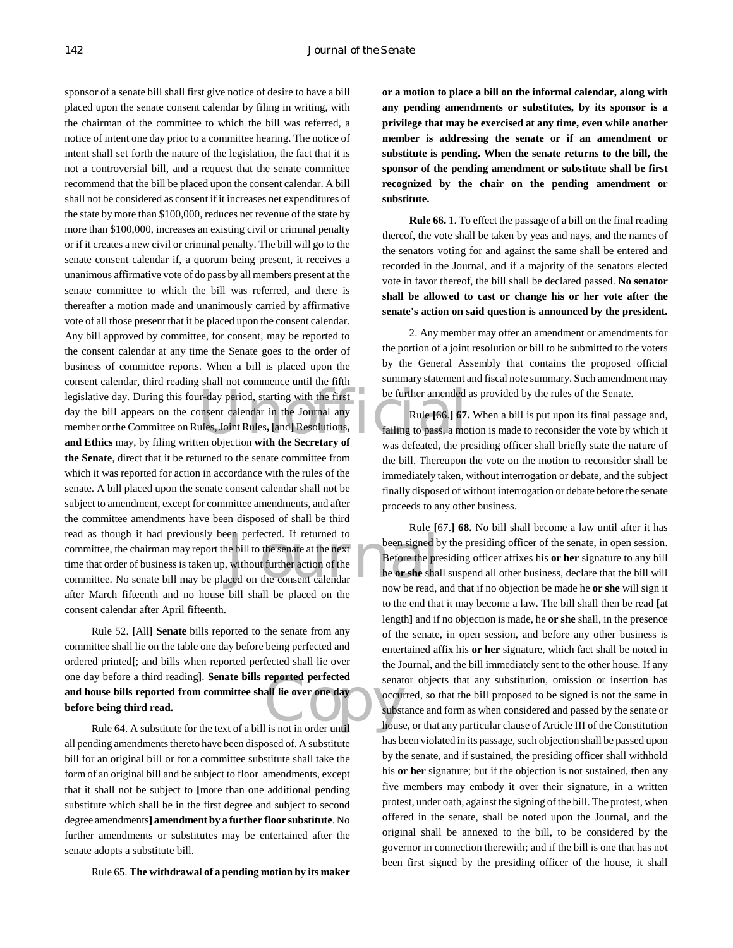legislative day. During this four-day period, starting with the first be further amended day the bill appears on the consent calendar in the Journal any Rule [66.] 67.<br>
member or the Committee on Rules, Joint Rules, [and] en perfected. If returned to<br>
been signed b<br>
without further action of the<br>
en signed b<br>
Before the pressure of the search of the search of the search of the search of the search of the search of the search of the search o sponsor of a senate bill shall first give notice of desire to have a bill placed upon the senate consent calendar by filing in writing, with the chairman of the committee to which the bill was referred, a notice of intent one day prior to a committee hearing. The notice of intent shall set forth the nature of the legislation, the fact that it is not a controversial bill, and a request that the senate committee recommend that the bill be placed upon the consent calendar. A bill shall not be considered as consent if it increases net expenditures of the state by more than \$100,000, reduces net revenue of the state by more than \$100,000, increases an existing civil or criminal penalty or if it creates a new civil or criminal penalty. The bill will go to the senate consent calendar if, a quorum being present, it receives a unanimous affirmative vote of do pass by all members present at the senate committee to which the bill was referred, and there is thereafter a motion made and unanimously carried by affirmative vote of all those present that it be placed upon the consent calendar. Any bill approved by committee, for consent, may be reported to the consent calendar at any time the Senate goes to the order of business of committee reports. When a bill is placed upon the consent calendar, third reading shall not commence until the fifth day the bill appears on the consent calendar in the Journal any member or the Committee on Rules, Joint Rules**, [**and**]** Resolutions**, and Ethics** may, by filing written objection **with the Secretary of the Senate**, direct that it be returned to the senate committee from which it was reported for action in accordance with the rules of the senate. A bill placed upon the senate consent calendar shall not be subject to amendment, except for committee amendments, and after the committee amendments have been disposed of shall be third read as though it had previously been perfected. If returned to committee, the chairman may report the bill to the senate at the next time that order of business is taken up, without further action of the committee. No senate bill may be placed on the consent calendar after March fifteenth and no house bill shall be placed on the consent calendar after April fifteenth.

reported perfected<br>
all lie over one day<br>
subst<br>
lis not in order until Rule 52. **[**All**] Senate** bills reported to the senate from any committee shall lie on the table one day before being perfected and ordered printed**[**; and bills when reported perfected shall lie over one day before a third reading**]**. **Senate bills reported perfected and house bills reported from committee shall lie over one day before being third read.**

Rule 64. A substitute for the text of a bill is not in order until all pending amendments thereto have been disposed of. A substitute bill for an original bill or for a committee substitute shall take the form of an original bill and be subject to floor amendments, except that it shall not be subject to **[**more than one additional pending substitute which shall be in the first degree and subject to second degree amendments**] amendment by a further floor substitute**. No further amendments or substitutes may be entertained after the senate adopts a substitute bill.

Rule 65. **The withdrawal of a pending motion by its maker**

**or a motion to place a bill on the informal calendar, along with any pending amendments or substitutes, by its sponsor is a privilege that may be exercised at any time, even while another member is addressing the senate or if an amendment or substitute is pending. When the senate returns to the bill, the sponsor of the pending amendment or substitute shall be first recognized by the chair on the pending amendment or substitute.**

**Rule 66.** 1. To effect the passage of a bill on the final reading thereof, the vote shall be taken by yeas and nays, and the names of the senators voting for and against the same shall be entered and recorded in the Journal, and if a majority of the senators elected vote in favor thereof, the bill shall be declared passed. **No senator shall be allowed to cast or change his or her vote after the senate's action on said question is announced by the president.**

2. Any member may offer an amendment or amendments for the portion of a joint resolution or bill to be submitted to the voters by the General Assembly that contains the proposed official summary statement and fiscal note summary. Such amendment may be further amended as provided by the rules of the Senate.

Rule **[**66.**] 67.** When a bill is put upon its final passage and, failing to pass, a motion is made to reconsider the vote by which it was defeated, the presiding officer shall briefly state the nature of the bill. Thereupon the vote on the motion to reconsider shall be immediately taken, without interrogation or debate, and the subject finally disposed of without interrogation or debate before the senate proceeds to any other business.

Rule **[**67.**] 68.** No bill shall become a law until after it has been signed by the presiding officer of the senate, in open session. Before the presiding officer affixes his **or her** signature to any bill he **or she** shall suspend all other business, declare that the bill will now be read, and that if no objection be made he **or she** will sign it to the end that it may become a law. The bill shall then be read **[**at length**]** and if no objection is made, he **or she** shall, in the presence of the senate, in open session, and before any other business is entertained affix his **or her** signature, which fact shall be noted in the Journal, and the bill immediately sent to the other house. If any senator objects that any substitution, omission or insertion has occurred, so that the bill proposed to be signed is not the same in substance and form as when considered and passed by the senate or house, or that any particular clause of Article III of the Constitution has been violated in its passage, such objection shall be passed upon by the senate, and if sustained, the presiding officer shall withhold his **or her** signature; but if the objection is not sustained, then any five members may embody it over their signature, in a written protest, under oath, against the signing of the bill. The protest, when offered in the senate, shall be noted upon the Journal, and the original shall be annexed to the bill, to be considered by the governor in connection therewith; and if the bill is one that has not been first signed by the presiding officer of the house, it shall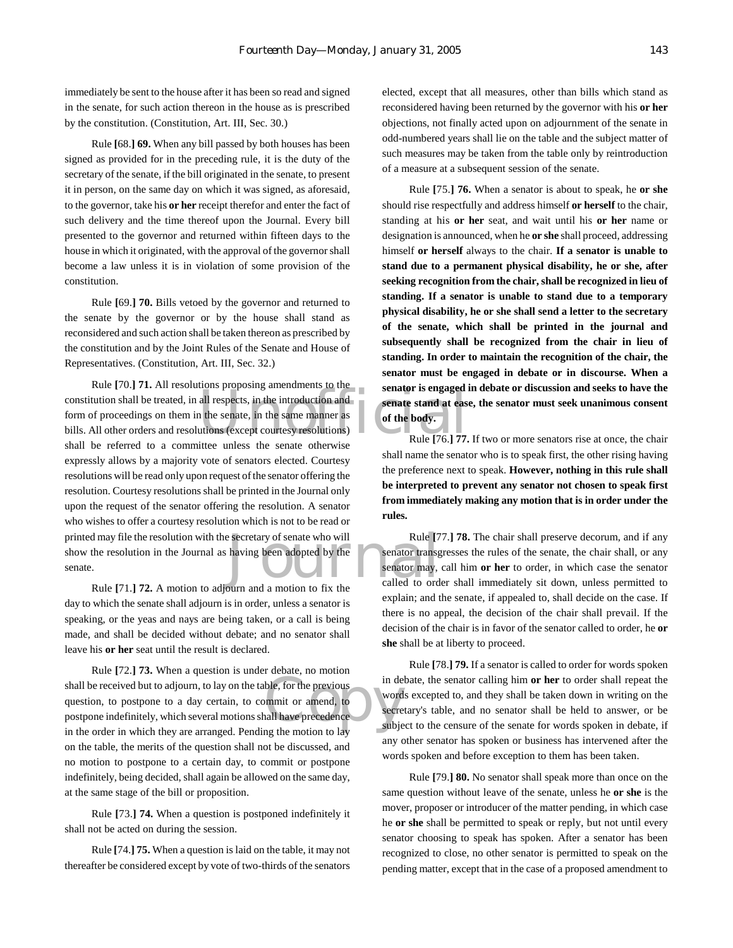immediately be sent to the house after it has been so read and signed in the senate, for such action thereon in the house as is prescribed by the constitution. (Constitution, Art. III, Sec. 30.)

Rule **[**68.**] 69.** When any bill passed by both houses has been signed as provided for in the preceding rule, it is the duty of the secretary of the senate, if the bill originated in the senate, to present it in person, on the same day on which it was signed, as aforesaid, to the governor, take his **or her** receipt therefor and enter the fact of such delivery and the time thereof upon the Journal. Every bill presented to the governor and returned within fifteen days to the house in which it originated, with the approval of the governor shall become a law unless it is in violation of some provision of the constitution.

Rule **[**69.**] 70.** Bills vetoed by the governor and returned to the senate by the governor or by the house shall stand as reconsidered and such action shall be taken thereon as prescribed by the constitution and by the Joint Rules of the Senate and House of Representatives. (Constitution, Art. III, Sec. 32.)

EXECUTE: THE ATT ESSOUTIONS Proposing amendments to the<br>
constitution shall be treated, in all respects, in the introduction and<br>
form of proceedings on them in the senate, in the same manner as<br>
bills. All other orders an Exercitary of senate who will<br>
Rule [7]<br>
having been adopted by the senator transg<br>
senator may,<br>
called to order<br>
called to order Rule **[**70.**] 71.** All resolutions proposing amendments to the form of proceedings on them in the senate, in the same manner as bills. All other orders and resolutions (except courtesy resolutions) shall be referred to a committee unless the senate otherwise expressly allows by a majority vote of senators elected. Courtesy resolutions will be read only upon request of the senator offering the resolution. Courtesy resolutions shall be printed in the Journal only upon the request of the senator offering the resolution. A senator who wishes to offer a courtesy resolution which is not to be read or printed may file the resolution with the secretary of senate who will show the resolution in the Journal as having been adopted by the senate.

Rule **[**71.**] 72.** A motion to adjourn and a motion to fix the day to which the senate shall adjourn is in order, unless a senator is speaking, or the yeas and nays are being taken, or a call is being made, and shall be decided without debate; and no senator shall leave his **or her** seat until the result is declared.

Shall be received but to adjourn, to lay on the table, for the previous in de<br>question, to postpone to a day certain, to commit or amend, to<br>postpone indefinitely, which several motions shall have precedence<br>in the order i Rule **[**72.**] 73.** When a question is under debate, no motion question, to postpone to a day certain, to commit or amend, to postpone indefinitely, which several motions shall have precedence in the order in which they are arranged. Pending the motion to lay on the table, the merits of the question shall not be discussed, and no motion to postpone to a certain day, to commit or postpone indefinitely, being decided, shall again be allowed on the same day, at the same stage of the bill or proposition.

Rule **[**73.**] 74.** When a question is postponed indefinitely it shall not be acted on during the session.

Rule **[**74.**] 75.** When a question is laid on the table, it may not thereafter be considered except by vote of two-thirds of the senators elected, except that all measures, other than bills which stand as reconsidered having been returned by the governor with his **or her** objections, not finally acted upon on adjournment of the senate in odd-numbered years shall lie on the table and the subject matter of such measures may be taken from the table only by reintroduction of a measure at a subsequent session of the senate.

Rule **[**75.**] 76.** When a senator is about to speak, he **or she** should rise respectfully and address himself **or herself** to the chair, standing at his **or her** seat, and wait until his **or her** name or designation is announced, when he **or she** shall proceed, addressing himself **or herself** always to the chair. **If a senator is unable to stand due to a permanent physical disability, he or she, after seeking recognition from the chair, shall be recognized in lieu of standing. If a senator is unable to stand due to a temporary physical disability, he or she shall send a letter to the secretary of the senate, which shall be printed in the journal and subsequently shall be recognized from the chair in lieu of standing. In order to maintain the recognition of the chair, the senator must be engaged in debate or in discourse. When a senator is engaged in debate or discussion and seeks to have the senate stand at ease, the senator must seek unanimous consent of the body.**

Rule **[**76.**] 77.** If two or more senators rise at once, the chair shall name the senator who is to speak first, the other rising having the preference next to speak. **However, nothing in this rule shall be interpreted to prevent any senator not chosen to speak first from immediately making any motion that is in order under the rules.**

Rule **[**77.**] 78.** The chair shall preserve decorum, and if any senator transgresses the rules of the senate, the chair shall, or any senator may, call him **or her** to order, in which case the senator called to order shall immediately sit down, unless permitted to explain; and the senate, if appealed to, shall decide on the case. If there is no appeal, the decision of the chair shall prevail. If the decision of the chair is in favor of the senator called to order, he **or she** shall be at liberty to proceed.

Rule **[**78.**] 79.** If a senator is called to order for words spoken in debate, the senator calling him **or her** to order shall repeat the words excepted to, and they shall be taken down in writing on the secretary's table, and no senator shall be held to answer, or be subject to the censure of the senate for words spoken in debate, if any other senator has spoken or business has intervened after the words spoken and before exception to them has been taken.

Rule **[**79.**] 80.** No senator shall speak more than once on the same question without leave of the senate, unless he **or she** is the mover, proposer or introducer of the matter pending, in which case he **or she** shall be permitted to speak or reply, but not until every senator choosing to speak has spoken. After a senator has been recognized to close, no other senator is permitted to speak on the pending matter, except that in the case of a proposed amendment to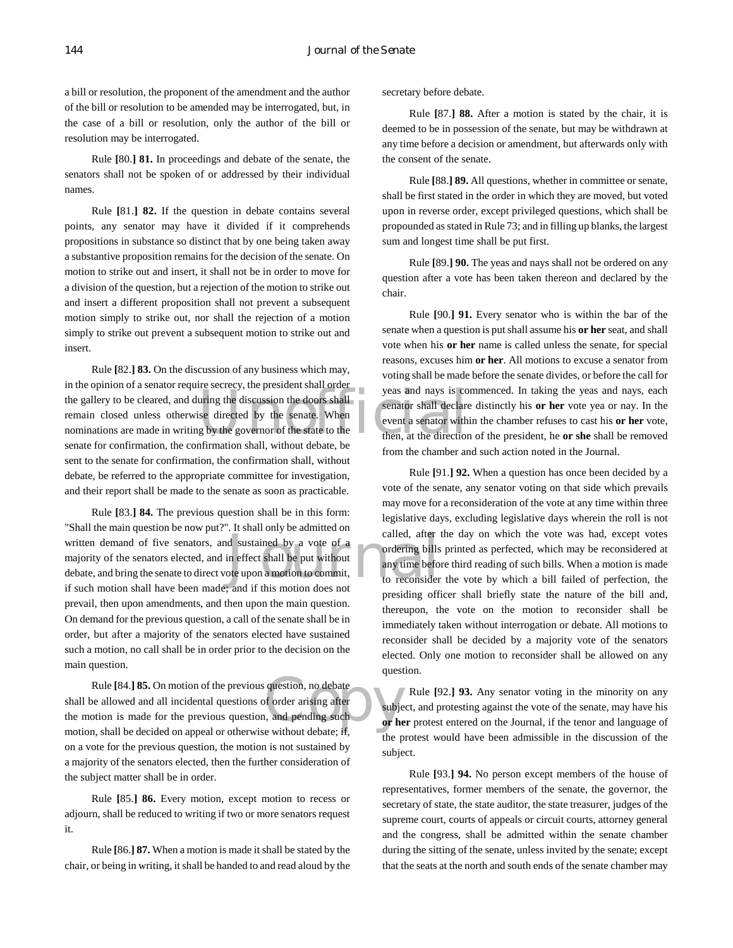a bill or resolution, the proponent of the amendment and the author of the bill or resolution to be amended may be interrogated, but, in the case of a bill or resolution, only the author of the bill or resolution may be interrogated.

Rule **[**80.**] 81.** In proceedings and debate of the senate, the senators shall not be spoken of or addressed by their individual names.

Rule **[**81.**] 82.** If the question in debate contains several points, any senator may have it divided if it comprehends propositions in substance so distinct that by one being taken away a substantive proposition remains for the decision of the senate. On motion to strike out and insert, it shall not be in order to move for a division of the question, but a rejection of the motion to strike out and insert a different proposition shall not prevent a subsequent motion simply to strike out, nor shall the rejection of a motion simply to strike out prevent a subsequent motion to strike out and insert.

The gallery to be cleared, and during the discussion the doors shall<br>the gallery to be cleared, and during the discussion the doors shall<br>then a senator shall declare<br>nominations are made in writing by the governor of the Rule **[**82.**] 83.** On the discussion of any business which may, in the opinion of a senator require secrecy, the president shall order remain closed unless otherwise directed by the senate. When nominations are made in writing by the governor of the state to the senate for confirmation, the confirmation shall, without debate, be sent to the senate for confirmation, the confirmation shall, without debate, be referred to the appropriate committee for investigation, and their report shall be made to the senate as soon as practicable.

rect shall be put without<br>the state of a<br>different shall be put without<br>of this motion does not<br>the state of the state of the state of the state of the state of the state of the state of the state of the state of the state Rule **[**83.**] 84.** The previous question shall be in this form: "Shall the main question be now put?". It shall only be admitted on written demand of five senators, and sustained by a vote of a majority of the senators elected, and in effect shall be put without debate, and bring the senate to direct vote upon a motion to commit, if such motion shall have been made; and if this motion does not prevail, then upon amendments, and then upon the main question. On demand for the previous question, a call of the senate shall be in order, but after a majority of the senators elected have sustained such a motion, no call shall be in order prior to the decision on the main question.

Rule [84.] **85.** On motion of the previous question, no debate<br>be allowed and all incidental questions of order arising after<br>or here if<br>a shall be decided on anneal or otherwise without debate: if shall be allowed and all incidental questions of order arising after the motion is made for the previous question, and pending such motion, shall be decided on appeal or otherwise without debate; if, on a vote for the previous question, the motion is not sustained by a majority of the senators elected, then the further consideration of the subject matter shall be in order.

Rule **[**85.**] 86.** Every motion, except motion to recess or adjourn, shall be reduced to writing if two or more senators request it.

Rule **[**86.**] 87.** When a motion is made it shall be stated by the chair, or being in writing, it shall be handed to and read aloud by the secretary before debate.

Rule **[**87.**] 88.** After a motion is stated by the chair, it is deemed to be in possession of the senate, but may be withdrawn at any time before a decision or amendment, but afterwards only with the consent of the senate.

Rule **[**88.**] 89.** All questions, whether in committee or senate, shall be first stated in the order in which they are moved, but voted upon in reverse order, except privileged questions, which shall be propounded as stated in Rule 73; and in filling up blanks, the largest sum and longest time shall be put first.

Rule **[**89.**] 90.** The yeas and nays shall not be ordered on any question after a vote has been taken thereon and declared by the chair.

Rule **[**90.**] 91.** Every senator who is within the bar of the senate when a question is put shall assume his **or her** seat, and shall vote when his **or her** name is called unless the senate, for special reasons, excuses him **or her**. All motions to excuse a senator from voting shall be made before the senate divides, or before the call for yeas and nays is commenced. In taking the yeas and nays, each senator shall declare distinctly his **or her** vote yea or nay. In the event a senator within the chamber refuses to cast his **or her** vote, then, at the direction of the president, he **or she** shall be removed from the chamber and such action noted in the Journal.

Rule **[**91.**] 92.** When a question has once been decided by a vote of the senate, any senator voting on that side which prevails may move for a reconsideration of the vote at any time within three legislative days, excluding legislative days wherein the roll is not called, after the day on which the vote was had, except votes ordering bills printed as perfected, which may be reconsidered at any time before third reading of such bills. When a motion is made to reconsider the vote by which a bill failed of perfection, the presiding officer shall briefly state the nature of the bill and, thereupon, the vote on the motion to reconsider shall be immediately taken without interrogation or debate. All motions to reconsider shall be decided by a majority vote of the senators elected. Only one motion to reconsider shall be allowed on any question.

Rule **[**92.**] 93.** Any senator voting in the minority on any subject, and protesting against the vote of the senate, may have his **or her** protest entered on the Journal, if the tenor and language of the protest would have been admissible in the discussion of the subject.

Rule **[**93.**] 94.** No person except members of the house of representatives, former members of the senate, the governor, the secretary of state, the state auditor, the state treasurer, judges of the supreme court, courts of appeals or circuit courts, attorney general and the congress, shall be admitted within the senate chamber during the sitting of the senate, unless invited by the senate; except that the seats at the north and south ends of the senate chamber may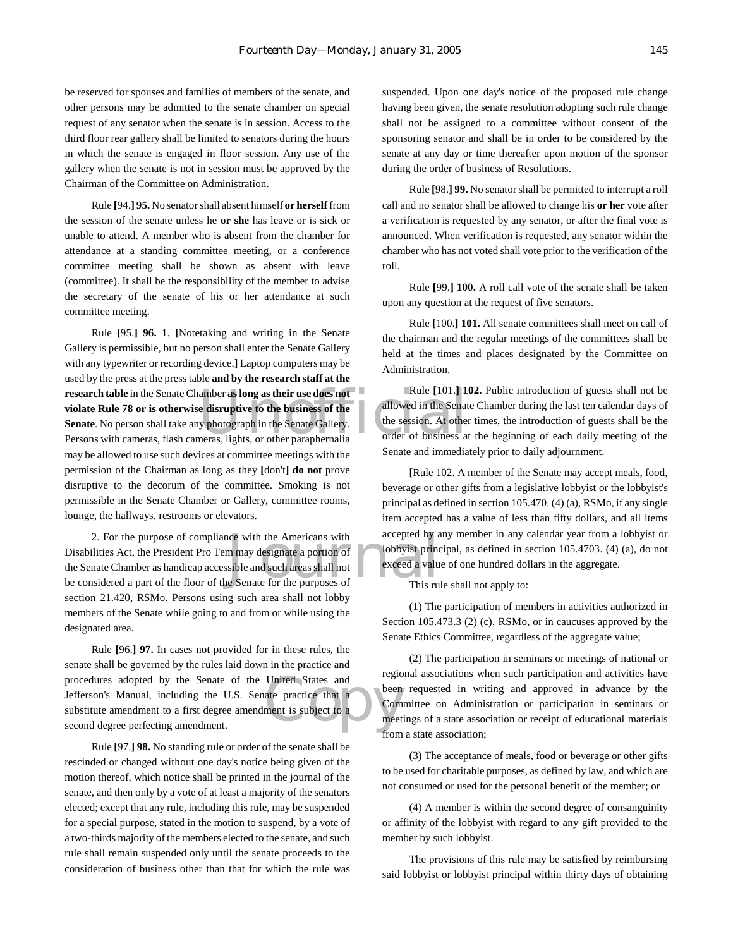be reserved for spouses and families of members of the senate, and other persons may be admitted to the senate chamber on special request of any senator when the senate is in session. Access to the third floor rear gallery shall be limited to senators during the hours in which the senate is engaged in floor session. Any use of the gallery when the senate is not in session must be approved by the Chairman of the Committee on Administration.

Rule **[**94.**] 95.** No senator shall absent himself **or herself** from the session of the senate unless he **or she** has leave or is sick or unable to attend. A member who is absent from the chamber for attendance at a standing committee meeting, or a conference committee meeting shall be shown as absent with leave (committee). It shall be the responsibility of the member to advise the secretary of the senate of his or her attendance at such committee meeting.

**research table** in the Senate Chamber **as long as their use does not** Rule [101.] **1** violate Rule 78 or is otherwise disruptive to the business of the alleved in the Senate. No person shall take any photograph in the Sen Rule **[**95.**] 96.** 1. **[**Notetaking and writing in the Senate Gallery is permissible, but no person shall enter the Senate Gallery with any typewriter or recording device.**]** Laptop computers may be used by the press at the press table **and by the research staff at the violate Rule 78 or is otherwise disruptive to the business of the Senate**. No person shall take any photograph in the Senate Gallery. Persons with cameras, flash cameras, lights, or other paraphernalia may be allowed to use such devices at committee meetings with the permission of the Chairman as long as they **[**don't**] do not** prove disruptive to the decorum of the committee. Smoking is not permissible in the Senate Chamber or Gallery, committee rooms, lounge, the hallways, restrooms or elevators.

accepted by a<br>m may designate a portion of lobbyist princ<br>sible and such areas shall not<br>exceed a value of the purposes of This rule 2. For the purpose of compliance with the Americans with Disabilities Act, the President Pro Tem may designate a portion of the Senate Chamber as handicap accessible and such areas shall not be considered a part of the floor of the Senate for the purposes of section 21.420, RSMo. Persons using such area shall not lobby members of the Senate while going to and from or while using the designated area.

United States and<br>ate practice that a<br>ment is subject to a<br>meet Rule **[**96.**] 97.** In cases not provided for in these rules, the senate shall be governed by the rules laid down in the practice and procedures adopted by the Senate of the United States and Jefferson's Manual, including the U.S. Senate practice that a substitute amendment to a first degree amendment is subject to a second degree perfecting amendment.

Rule **[**97.**] 98.** No standing rule or order of the senate shall be rescinded or changed without one day's notice being given of the motion thereof, which notice shall be printed in the journal of the senate, and then only by a vote of at least a majority of the senators elected; except that any rule, including this rule, may be suspended for a special purpose, stated in the motion to suspend, by a vote of a two-thirds majority of the members elected to the senate, and such rule shall remain suspended only until the senate proceeds to the consideration of business other than that for which the rule was

suspended. Upon one day's notice of the proposed rule change having been given, the senate resolution adopting such rule change shall not be assigned to a committee without consent of the sponsoring senator and shall be in order to be considered by the senate at any day or time thereafter upon motion of the sponsor during the order of business of Resolutions.

Rule **[**98.**] 99.** No senator shall be permitted to interrupt a roll call and no senator shall be allowed to change his **or her** vote after a verification is requested by any senator, or after the final vote is announced. When verification is requested, any senator within the chamber who has not voted shall vote prior to the verification of the roll.

Rule **[**99.**] 100.** A roll call vote of the senate shall be taken upon any question at the request of five senators.

Rule **[**100.**] 101.** All senate committees shall meet on call of the chairman and the regular meetings of the committees shall be held at the times and places designated by the Committee on Administration.

Rule **[**101.**] 102.** Public introduction of guests shall not be allowed in the Senate Chamber during the last ten calendar days of the session. At other times, the introduction of guests shall be the order of business at the beginning of each daily meeting of the Senate and immediately prior to daily adjournment.

**[**Rule 102. A member of the Senate may accept meals, food, beverage or other gifts from a legislative lobbyist or the lobbyist's principal as defined in section 105.470. (4) (a), RSMo, if any single item accepted has a value of less than fifty dollars, and all items accepted by any member in any calendar year from a lobbyist or lobbyist principal, as defined in section 105.4703. (4) (a), do not exceed a value of one hundred dollars in the aggregate.

This rule shall not apply to:

(1) The participation of members in activities authorized in Section 105.473.3 (2) (c), RSMo, or in caucuses approved by the Senate Ethics Committee, regardless of the aggregate value;

(2) The participation in seminars or meetings of national or regional associations when such participation and activities have been requested in writing and approved in advance by the Committee on Administration or participation in seminars or meetings of a state association or receipt of educational materials from a state association;

(3) The acceptance of meals, food or beverage or other gifts to be used for charitable purposes, as defined by law, and which are not consumed or used for the personal benefit of the member; or

(4) A member is within the second degree of consanguinity or affinity of the lobbyist with regard to any gift provided to the member by such lobbyist.

The provisions of this rule may be satisfied by reimbursing said lobbyist or lobbyist principal within thirty days of obtaining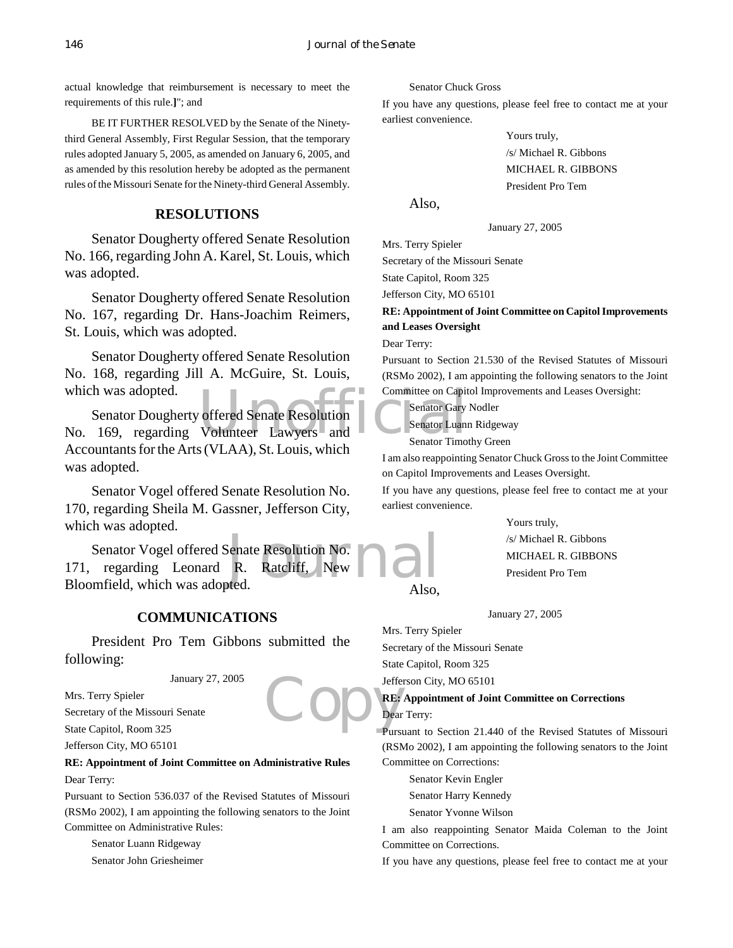actual knowledge that reimbursement is necessary to meet the requirements of this rule.**]**"; and

BE IT FURTHER RESOLVED by the Senate of the Ninetythird General Assembly, First Regular Session, that the temporary rules adopted January 5, 2005, as amended on January 6, 2005, and as amended by this resolution hereby be adopted as the permanent rules of the Missouri Senate for the Ninety-third General Assembly.

## **RESOLUTIONS**

Senator Dougherty offered Senate Resolution No. 166, regarding John A. Karel, St. Louis, which was adopted.

Senator Dougherty offered Senate Resolution No. 167, regarding Dr. Hans-Joachim Reimers, St. Louis, which was adopted.

Senator Dougherty offered Senate Resolution No. 168, regarding Jill A. McGuire, St. Louis, which was adopted.

Committee on Capit<br>
Volunteer Lawyers and Senator Cluster<br>
United Senator Luan<br>
Senator Timot Senator Dougherty offered Senate Resolution No. 169, regarding Volunteer Lawyers and Accountants for the Arts (VLAA), St. Louis, which was adopted.

Senator Vogel offered Senate Resolution No. 170, regarding Sheila M. Gassner, Jefferson City, which was adopted.

Senate Resolution No.<br>R. Ratcliff, New 1999 Senator Vogel offered Senate Resolution No. 171, regarding Leonard R. Ratcliff, New Bloomfield, which was adopted.

#### **COMMUNICATIONS**

President Pro Tem Gibbons submitted the following:

January 27, 2005

Mrs. Terry Spieler Secretary of the Missouri Senate State Capitol, Room 325

Jefferson City, MO 65101

## **RE: Appointment of Joint Committee on Administrative Rules** Dear Terry:

Pursuant to Section 536.037 of the Revised Statutes of Missouri (RSMo 2002), I am appointing the following senators to the Joint Committee on Administrative Rules:

Senator Luann Ridgeway Senator John Griesheimer Senator Chuck Gross

If you have any questions, please feel free to contact me at your earliest convenience.

> Yours truly, /s/ Michael R. Gibbons MICHAEL R. GIBBONS President Pro Tem

Also,

January 27, 2005

Mrs. Terry Spieler Secretary of the Missouri Senate State Capitol, Room 325 Jefferson City, MO 65101

## **RE: Appointment of Joint Committee on Capitol Improvements and Leases Oversight**

Dear Terry:

Pursuant to Section 21.530 of the Revised Statutes of Missouri (RSMo 2002), I am appointing the following senators to the Joint Committee on Capitol Improvements and Leases Oversight:

Senator Gary Nodler

Senator Luann Ridgeway

Senator Timothy Green

I am also reappointing Senator Chuck Gross to the Joint Committee on Capitol Improvements and Leases Oversight.

If you have any questions, please feel free to contact me at your earliest convenience.

> Yours truly, /s/ Michael R. Gibbons MICHAEL R. GIBBONS President Pro Tem

Also,

January 27, 2005

Mrs. Terry Spieler Secretary of the Missouri Senate State Capitol, Room 325

Jefferson City, MO 65101

Copy RE: **RE: Appointment of Joint Committee on Corrections**

Dear Terry:

Pursuant to Section 21.440 of the Revised Statutes of Missouri (RSMo 2002), I am appointing the following senators to the Joint Committee on Corrections:

Senator Kevin Engler Senator Harry Kennedy

Senator Yvonne Wilson

I am also reappointing Senator Maida Coleman to the Joint Committee on Corrections.

If you have any questions, please feel free to contact me at your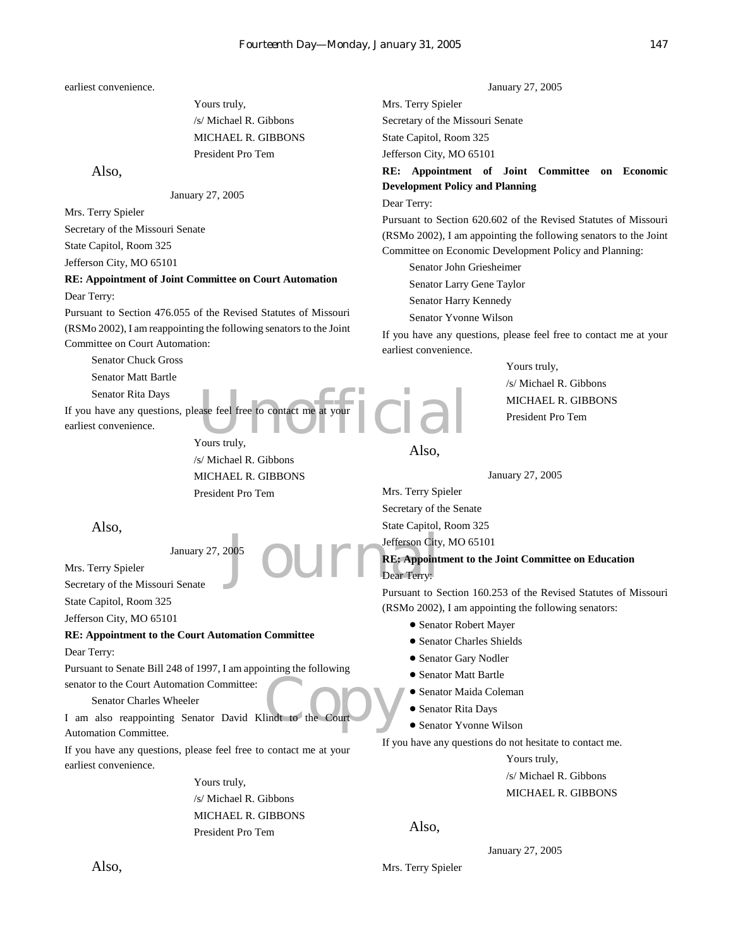earliest convenience.

Yours truly, /s/ Michael R. Gibbons MICHAEL R. GIBBONS President Pro Tem

#### Also,

January 27, 2005

Mrs. Terry Spieler

Secretary of the Missouri Senate

State Capitol, Room 325

Jefferson City, MO 65101

#### **RE: Appointment of Joint Committee on Court Automation** Dear Terry:

Pursuant to Section 476.055 of the Revised Statutes of Missouri (RSMo 2002), I am reappointing the following senators to the Joint Committee on Court Automation:

Senator Chuck Gross

Senator Matt Bartle

Senator Rita Days

If you have any questions, please feel free to contact me at your earliest convenience.

ase feel free to contact me at your Yours truly, /s/ Michael R. Gibbons MICHAEL R. GIBBONS President Pro Tem

Also,

Mrs. Terry Spieler Secretary of the Missouri Senate State Capitol, Room 325 Jefferson City, MO 65101

#### **RE: Appointment to the Court Automation Committee**

Dear Terry:

Pursuant to Senate Bill 248 of 1997, I am appointing the following senator to the Court Automation Committee:

January 27, 2005

#### Senator Charles Wheeler

lindt to the Court I am also reappointing Senator David Klindt to the Court Automation Committee.

If you have any questions, please feel free to contact me at your earliest convenience.

> Yours truly, /s/ Michael R. Gibbons MICHAEL R. GIBBONS President Pro Tem

January 27, 2005 Mrs. Terry Spieler Secretary of the Missouri Senate State Capitol, Room 325 Jefferson City, MO 65101

## **RE: Appointment of Joint Committee on Economic Development Policy and Planning**

Dear Terry:

Pursuant to Section 620.602 of the Revised Statutes of Missouri (RSMo 2002), I am appointing the following senators to the Joint Committee on Economic Development Policy and Planning:

Senator John Griesheimer Senator Larry Gene Taylor Senator Harry Kennedy Senator Yvonne Wilson

If you have any questions, please feel free to contact me at your earliest convenience.

> Yours truly, /s/ Michael R. Gibbons MICHAEL R. GIBBONS President Pro Tem

Also,

January 27, 2005

Mrs. Terry Spieler Secretary of the Senate State Capitol, Room 325

Jefferson City, MO 65101

## Jefferson City<br>Dear Terry:<br>Dear Terry: **RE: Appointment to the Joint Committee on Education** Dear Terry:

Pursuant to Section 160.253 of the Revised Statutes of Missouri (RSMo 2002), I am appointing the following senators:

- **Senator Robert Mayer**
- **.** Senator Charles Shields
- **.** Senator Gary Nodler
- Senator Matt Bartle
- ! Senator Maida Coleman
- **Senator Rita Days**
- **Senator Yvonne Wilson**

If you have any questions do not hesitate to contact me.

Yours truly, /s/ Michael R. Gibbons MICHAEL R. GIBBONS

#### Also,

January 27, 2005

Mrs. Terry Spieler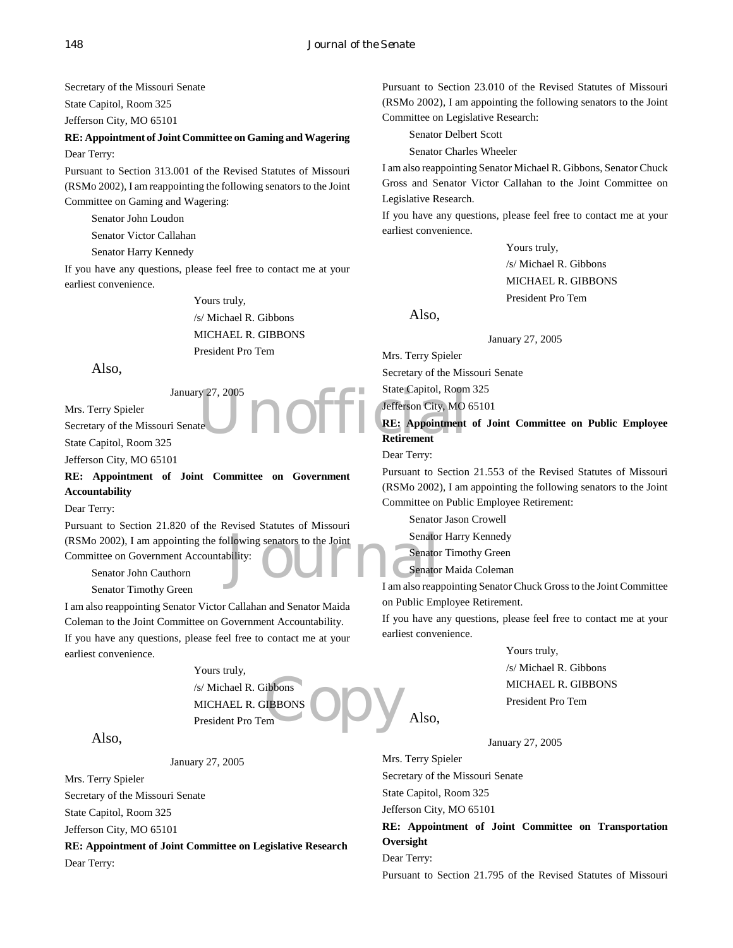Secretary of the Missouri Senate State Capitol, Room 325 Jefferson City, MO 65101

#### **RE: Appointment of Joint Committee on Gaming and Wagering** Dear Terry:

Pursuant to Section 313.001 of the Revised Statutes of Missouri (RSMo 2002), I am reappointing the following senators to the Joint Committee on Gaming and Wagering:

Senator John Loudon

Senator Victor Callahan

Senator Harry Kennedy

If you have any questions, please feel free to contact me at your earliest convenience.

> Yours truly, /s/ Michael R. Gibbons MICHAEL R. GIBBONS President Pro Tem

Also,

January 27, 2005 Mrs. Terry Spieler Secretary of the Missouri Senate State Capitol, Room 325

Jefferson City, MO 65101

**RE: Appointment of Joint Committee on Government Accountability**

#### Dear Terry:

(RSMo 2002), I am appointing the following senators to the Joint<br>
Committee on Government Accountability:<br>
Senator<br>
Senator<br>
Senator<br>
I am also reap Pursuant to Section 21.820 of the Revised Statutes of Missouri Committee on Government Accountability:

Senator John Cauthorn

Senator Timothy Green

I am also reappointing Senator Victor Callahan and Senator Maida Coleman to the Joint Committee on Government Accountability. If you have any questions, please feel free to contact me at your earliest convenience.

> dibpons<br>em<br>em Yours truly, /s/ Michael R. Gibbons MICHAEL R. GIBBONS President Pro Tem

Also,

January 27, 2005

Mrs. Terry Spieler Secretary of the Missouri Senate State Capitol, Room 325 Jefferson City, MO 65101

**RE: Appointment of Joint Committee on Legislative Research**

Dear Terry:

Pursuant to Section 23.010 of the Revised Statutes of Missouri (RSMo 2002), I am appointing the following senators to the Joint Committee on Legislative Research:

Senator Delbert Scott

Senator Charles Wheeler

I am also reappointing Senator Michael R. Gibbons, Senator Chuck Gross and Senator Victor Callahan to the Joint Committee on Legislative Research.

If you have any questions, please feel free to contact me at your earliest convenience.

> Yours truly, /s/ Michael R. Gibbons MICHAEL R. GIBBONS President Pro Tem

Also,

January 27, 2005

Mrs. Terry Spieler

Secretary of the Missouri Senate

State Capitol, Room 325

Jefferson City, MO 65101

y 27, 2005<br>te<br>te<br>**Example for the Capitol, Room**<br>**RE:** Appointment<br>**RE:** Appointment **RE: Appointment of Joint Committee on Public Employee Retirement**

Dear Terry:

Pursuant to Section 21.553 of the Revised Statutes of Missouri (RSMo 2002), I am appointing the following senators to the Joint Committee on Public Employee Retirement:

Senator Jason Crowell

Senator Harry Kennedy

Senator Timothy Green

Senator Maida Coleman

I am also reappointing Senator Chuck Gross to the Joint Committee on Public Employee Retirement.

If you have any questions, please feel free to contact me at your earliest convenience.

Yours truly,

/s/ Michael R. Gibbons MICHAEL R. GIBBONS President Pro Tem

January 27, 2005

Mrs. Terry Spieler Secretary of the Missouri Senate State Capitol, Room 325

Jefferson City, MO 65101

Also,

**RE: Appointment of Joint Committee on Transportation Oversight** Dear Terry:

Pursuant to Section 21.795 of the Revised Statutes of Missouri